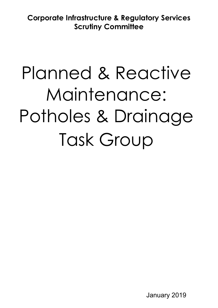**Corporate Infrastructure & Regulatory Services Scrutiny Committee**

# Planned & Reactive Maintenance: Potholes & Drainage Task Group

January 2019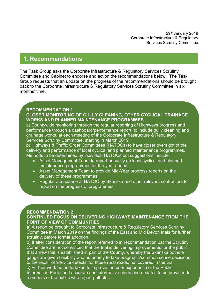29th January 2019 Corporate Infrastructure & Regulatory Services Scrutiny Committee

## **1. Recommendations**

The Task Group asks the Corporate Infrastructure & Regulatory Services Scrutiny Committee and Cabinet to endorse and action the recommendations below. The Task Group requests that an update on the progress of the recommendations should be brought back to the Corporate Infrastructure & Regulatory Services Scrutiny Committee in six months' time.

#### **RECOMMENDATION 1 CLOSER MONITORING OF GULLY CLEANING, OTHER CYCLICAL DRAINAGE WORKS AND PLANNED MAINTENANCE PROGRAMMES**

a) Countywide monitoring through the regular reporting of Highways progress and performance through a dashboard/performance report, to include gully cleaning and drainage works, at each meeting of the Corporate Infrastructure & Regulatory Services Scrutiny Committee, starting in March 2019.

b) Highways & Traffic Order Committees (HATOCs) to have closer oversight of the delivery and performance of local cyclical and planned maintenance programmes. Methods to be determined by individual HATOCs but suggestions include:

- Asset Management Team to report annually on local cyclical and planned maintenance programmes for the year ahead;
- Asset Management Team to provide Mid-Year progress reports on the delivery of these programmes;
- Regular attendance at HATOC by Skanska and other relevant contractors to report on the progress of programmes.

## **RECOMMENDATION 2**

## **CONTINUED FOCUS ON DELIVERING HIGHWAYS MAINTENANCE FROM THE POINT OF VIEW OF COMMUNITIES**

a) A report be brought to Corporate Infrastructure & Regulatory Services Scrutiny Committee in March 2019 on the findings of the East and Mid Devon trials for further scrutiny, before formal adoption

b) If after consideration of the report referred to in recommendation 2a) the Scrutiny Committee are not convinced that the trial is delivering improvements for the public, that a new trial is established in part of the County, whereby the Skanska pothole gangs are given flexibility and autonomy to take pragmatic/common sense decisions to the repair of 'service defects' for those rural roads, not covered in the trial c) Further work be undertaken to improve the user experience of the Public Information Portal and accurate and informative alerts and updates to be provided to members of the public who report potholes.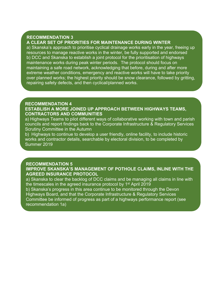#### **RECOMMENDATION 3**

## **A CLEAR SET OF PRIORITIES FOR MAINTENANCE DURING WINTER**

a) Skanska's approach to prioritise cyclical drainage works early in the year, freeing up resources to manage reactive works in the winter, be fully supported and endorsed b) DCC and Skanska to establish a joint protocol for the prioritisation of highways maintenance works during peak winter periods. The protocol should focus on maintaining a safe road network, acknowledging that before, during and after more extreme weather conditions, emergency and reactive works will have to take priority over planned works; the highest priority should be snow clearance, followed by gritting, repairing safety defects, and then cyclical/planned works.

## **RECOMMENDATION 4**

#### **ESTABLISH A MORE JOINED UP APPROACH BETWEEN HIGHWAYS TEAMS, CONTRACTORS AND COMMUNITIES**

a) Highways Teams to pilot different ways of collaborative working with town and parish councils and report findings back to the Corporate Infrastructure & Regulatory Services Scrutiny Committee in the Autumn

b) Highways to continue to develop a user friendly, online facility, to include historic works and contractor details, searchable by electoral division, to be completed by Summer 2019

#### **RECOMMENDATION 5**

**IMPROVE SKANSKA'S MANAGEMENT OF POTHOLE CLAIMS, INLINE WITH THE AGREED INSURANCE PROTOCOL**

a) Skanska to clear the backlog of DCC claims and be managing all claims in line with the timescales in the agreed insurance protocol by 1<sup>st</sup> April 2019

b) Skanska's progress in this area continue to be monitored through the Devon Highways Board, and that the Corporate Infrastructure & Regulatory Services Committee be informed of progress as part of a highways performance report (see recommendation 1a)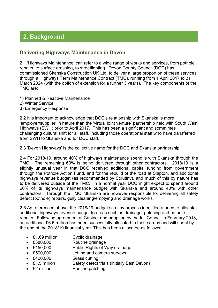# **2. Background**

## **Delivering Highways Maintenance in Devon**

2.1 'Highways Maintenance' can refer to a wide range of works and services, from pothole repairs, to surface dressing, to streetlighting. Devon County Council (DCC) has commissioned Skanska Construction UK Ltd, to deliver a large proportion of these services through a Highways Term Maintenance Contract (TMC), running from 1 April 2017 to 31 March 2024 (with the option of extension for a further 3 years). The key components of the TMC are:

- 1) Planned & Reactive Maintenance
- 2) Winter Service
- 3) Emergency Response

2.2 It is important to acknowledge that DCC's relationship with Skanska is more 'employer/supplier' in nature than the 'virtual joint venture' partnership held with South West Highways (SWH) prior to April 2017. This has been a significant and sometimes challenging cultural shift for all staff, including those operational staff who have transferred from SWH to Skanska and for DCC staff.

2.3 'Devon Highways' is the collective name for the DCC and Skanska partnership.

2.4 For 2018/19, around 40% of highways maintenance spend is with Skanska through the TMC. The remaining 60% is being delivered through other contractors. 2018/19 is a slightly unusual year in that DCC received additional capital funding from government through the Pothole Action Fund, and for the rebuild of the road at Slapton, and additional highways revenue budget (as recommended by Scrutiny), and much of this by nature has to be delivered outside of the TMC. In a normal year DCC might expect to spend around 60% of its highways maintenance budget with Skanska and around 40% with other contractors. Through the TMC, Skanska are however responsible for delivering all safety defect (pothole) repairs, gully cleaning/emptying and drainage works.

2.5 As referenced above, the 2018/19 budget scrutiny process identified a need to allocate additional highways revenue budget to areas such as drainage, patching and pothole repairs. Following agreement at Cabinet and adoption by the full Council in February 2018, an additional £6.5 million has been successfully allocated to these areas and will spent by the end of the 2018/19 financial year. This has been allocated as follows:

- £1.69 million Cyclic drainage
- £380,000 Routine drainage
- £150,000 Public Rights of Way drainage
- £500,000 Jetting and camera surveys
- £400,000 Grass cutting
- £1.5 million Safety defect trials (initially East Devon)
- £2 million Routine patching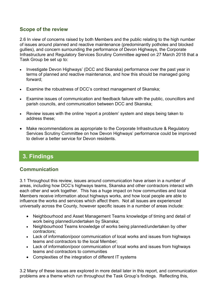## **Scope of the review**

2.6 In view of concerns raised by both Members and the public relating to the high number of issues around planned and reactive maintenance (predominantly potholes and blocked gullies), and concern surrounding the performance of Devon Highways, the Corporate Infrastructure and Regulatory Services Scrutiny Committee agreed on 27 March 2018 that a Task Group be set up to:

- Investigate Devon Highways' (DCC and Skanska) performance over the past year in terms of planned and reactive maintenance, and how this should be managed going forward;
- Examine the robustness of DCC's contract management of Skanska;
- Examine issues of communication and feedback failure with the public, councillors and parish councils, and communication between DCC and Skanska;
- Review issues with the online 'report a problem' system and steps being taken to address these;
- Make recommendations as appropriate to the Corporate Infrastructure & Regulatory Services Scrutiny Committee on how Devon Highways' performance could be improved to deliver a better service for Devon residents.

# **3. Findings**

## **Communication**

3.1 Throughout this review, issues around communication have arisen in a number of areas, including how DCC's highways teams, Skanska and other contractors interact with each other and work together. This has a huge impact on how communities and local Members receive information about highways works, and how local people are able to influence the works and services which affect them. Not all issues are experienced universally across the County, however specific issues in a number of areas include:

- Neighbourhood and Asset Management Teams knowledge of timing and detail of work being planned/undertaken by Skanska;
- Neighbourhood Teams knowledge of works being planned/undertaken by other contractors;
- Lack of information/poor communication of local works and issues from highways teams and contractors to the local Member;
- Lack of information/poor communication of local works and issues from highways teams and contractors to communities
- Complexities of the integration of different IT systems

3.2 Many of these issues are explored in more detail later in this report, and communication problems are a theme which run throughout the Task Group's findings. Reflecting this,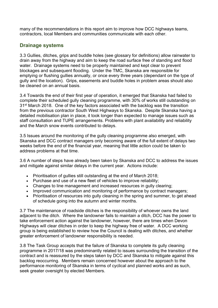many of the recommendations in this report aim to improve how DCC highways teams, contractors, local Members and communities communicate with each other.

## **Drainage systems**

3.3 Gullies, ditches, grips and buddle holes (see glossary for definitions) allow rainwater to drain away from the highway and aim to keep the road surface free of standing and flood water. Drainage systems need to be properly maintained and kept clear to prevent blockages and subsequent flooding. Under the TMC, Skanska are responsible for emptying or flushing gullies annually, or once every three years (dependant on the type of gully and the location). Grips, easements and buddle holes in problem areas should also be cleaned on an annual basis.

3.4 Towards the end of their first year of operation, it emerged that Skanska had failed to complete their scheduled gully cleaning programme, with 30% of works still outstanding on 31st March 2018. One of the key factors associated with the backlog was the transition from the previous contractor South West Highways to Skanska. Despite Skanska having a detailed mobilisation plan in place, it took longer than expected to manage issues such as staff consultation and TUPE arrangements. Problems with plant availability and reliability and the March snow events contributed to delays.

3.5 Issues around the monitoring of the gully cleaning programme also emerged, with Skanska and DCC contract managers only becoming aware of the full extent of delays two weeks before the end of the financial year, meaning that little action could be taken to address problems at that time.

3.6 A number of steps have already been taken by Skanska and DCC to address the issues and mitigate against similar delays in the current year. Actions include:

- Prioritisation of gullies still outstanding at the end of March 2018;
- Purchase and use of a new fleet of vehicles to improve reliability;
- Changes to line management and increased resources in gully clearing;
- Improved communication and monitoring of performance by contract managers;
- Prioritisation of resources into gully cleaning in the spring and summer, to get ahead of schedule going into the autumn and winter months.

3.7 The maintenance of roadside ditches is the responsibility of whoever owns the land adjacent to the ditch. Where the landowner fails to maintain a ditch, DCC has the power to take enforcement action against the landowner, however, there are times when Devon Highways will clear ditches in order to keep the highway free of water. A DCC working group is being established to review how the Council is dealing with ditches, and whether greater enforcement of landowner responsibility is needed.

3.8 The Task Group accepts that the failure of Skanska to complete its gully cleaning programme in 2017/18 was predominantly related to issues surrounding the transition of the contract and is reassured by the steps taken by DCC and Skanska to mitigate against this backlog reoccurring. Members remain concerned however about the approach to the performance monitoring of Skanska in terms of cyclical and planned works and as such, seek greater oversight by elected Members.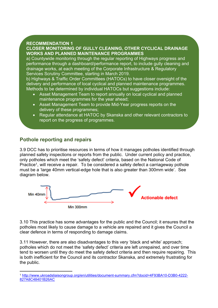## **RECOMMENDATION 1**

## **CLOSER MONITORING OF GULLY CLEANING, OTHER CYCLICAL DRAINAGE WORKS AND PLANNED MAINTENANCE PROGRAMMES**

a) Countywide monitoring through the regular reporting of Highways progress and performance through a dashboard/performance report, to include gully cleaning and drainage works, at each meeting of the Corporate Infrastructure & Regulatory Services Scrutiny Committee, starting in March 2019.

b) Highways & Traffic Order Committees (HATOCs) to have closer oversight of the delivery and performance of local cyclical and planned maintenance programmes. Methods to be determined by individual HATOCs but suggestions include:

- Asset Management Team to report annually on local cyclical and planned maintenance programmes for the year ahead;
- Asset Management Team to provide Mid-Year progress reports on the delivery of these programmes;
- Regular attendance at HATOC by Skanska and other relevant contractors to report on the progress of programmes.

## **Pothole reporting and repairs**

3.9 DCC has to prioritise resources in terms of how it manages potholes identified through planned safety inspections or reports from the public. Under current policy and practice, only potholes which meet the 'safety defect' criteria, based on the National Code of Practice<sup>1</sup>, will receive a repair. To be considered a safety defect a carriageway pothole must be a 'large 40mm vertical-edge hole that is also greater than 300mm wide'. See diagram below.



3.10 This practice has some advantages for the public and the Council; it ensures that the potholes most likely to cause damage to a vehicle are repaired and it gives the Council a clear defence in terms of responding to damage claims.

3.11 However, there are also disadvantages to this very 'black and white' approach; potholes which do not meet the 'safety defect' criteria are left unrepaired, and over time tend to worsen until they do meet the safety defect criteria and then require repairing. This is both inefficient for the Council and its contractor Skanska, and extremely frustrating for the public.

<sup>1</sup> [http://www.ukroadsliaisongroup.org/en/utilities/document-summary.cfm?docid=4F93BA10-D3B0-4222-](http://www.ukroadsliaisongroup.org/en/utilities/document-summary.cfm?docid=4F93BA10-D3B0-4222-827A8C48401B26AC) [827A8C48401B26AC](http://www.ukroadsliaisongroup.org/en/utilities/document-summary.cfm?docid=4F93BA10-D3B0-4222-827A8C48401B26AC)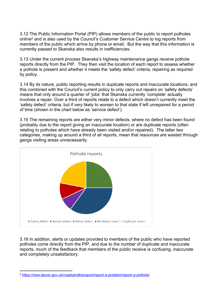3.12 The Public Information Portal (PIP) allows members of the public to report potholes online<sup>2</sup> and is also used by the Council's Customer Service Centre to log reports from members of the public which arrive by phone or email. But the way that this information is currently passed to Skanska also results in inefficiencies.

3.13 Under the current process Skanska's highway maintenance gangs receive pothole reports directly from the PIP. They then visit the location of each report to assess whether a pothole is present and whether it meets the 'safety defect' criteria, repairing as required by policy.

3.14 By its nature, public reporting results in duplicate reports and inaccurate locations, and this combined with the Council's current policy to only carry out repairs on 'safety defects' means that only around a quarter of 'jobs' that Skanska currently 'complete' actually involves a repair. Over a third of reports relate to a defect which doesn't currently meet the 'safety defect' criteria, but if very likely to worsen to that state if left unrepaired for a period of time (shown in the chart below as 'service defect').

3.15 The remaining reports are either very minor defects, where no defect has been found (probably due to the report giving an inaccurate location) or are duplicate reports (often relating to potholes which have already been visited and/or repaired). The latter two categories, making up around a third of all reports, mean that resources are wasted through gangs visiting areas unnecessarily.



3.16 In addition, alerts or updates provided to members of the public who have reported potholes come directly from the PIP, and due to the number of duplicate and inaccurate reports, much of the feedback that members of the public receive is confusing, inaccurate and completely unsatisfactory.

<sup>2</sup> <https://new.devon.gov.uk/roadsandtransport/report-a-problem/report-a-pothole/>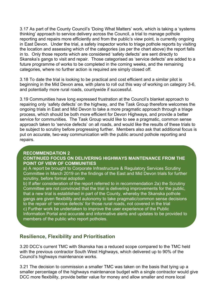3.17 As part of the County Council's 'Doing What Matters' work, which is taking a 'systems thinking' approach to service delivery across the Council, a trial to manage pothole reporting and repairs more efficiently and from the public's view point, is currently ongoing in East Devon. Under the trial, a safety inspector works to triage pothole reports by visiting the location and assessing which of the categories (as per the chart above) the report falls in to. Only those reports which are considered 'safety defects' are sent directly to Skanska's gangs to visit and repair. Those categorised as 'service defects' are added to a future programme of works to be completed in the coming weeks, and the remaining categories, where no further action is required are simply closed off.

3.18 To date the trial is looking to be practical and cost efficient and a similar pilot is beginning in the Mid Devon area, with plans to roll out this way of working on category 3-6, and potentially more rural roads, countywide if successful.

3.19 Communities have long expressed frustration at the Council's blanket approach to repairing only 'safety defects' on the highway, and the Task Group therefore welcomes the ongoing trials in East and Mid Devon to take a more pragmatic approach through a triage process, which should be both more efficient for Devon Highways, and provide a better service for communities. The Task Group would like to see a pragmatic, common sense approach taken to 'service defects' on all roads, and would like the results of these trials to be subject to scrutiny before progressing further. Members also ask that additional focus is put on accurate, two-way communication with the public around pothole reporting and repairs.

## **RECOMMENDATION 2 CONTINUED FOCUS ON DELIVERING HIGHWAYS MAINTENANCE FROM THE POINT OF VIEW OF COMMUNITIES**

a) A report be brought to Corporate Infrastructure & Regulatory Services Scrutiny Committee in March 2019 on the findings of the East and Mid Devon trials for further scrutiny, before formal adoption

b) If after consideration of the report referred to in recommendation 2a) the Scrutiny Committee are not convinced that the trial is delivering improvements for the public, that a new trial is established in part of the County, whereby the Skanska pothole gangs are given flexibility and autonomy to take pragmatic/common sense decisions to the repair of 'service defects' for those rural roads, not covered in the trial c) Further work be undertaken to improve the user experience of the Public Information Portal and accurate and informative alerts and updates to be provided to members of the public who report potholes.

## **Resilience, Flexibility and Prioritisation**

3.20 DCC's current TMC with Skanska has a reduced scope compared to the TMC held with the previous contractor South West Highways, which delivered up to 90% of the Council's highways maintenance works.

3.21 The decision to commission a smaller TMC was taken on the basis that tying up a smaller percentage of the highways maintenance budget with a single contractor would give DCC more flexibility, provide better value for money and allow smaller and more local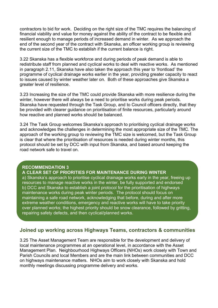contractors to bid for work. Deciding on the right size of the TMC requires the balancing of financial viability and value for money against the ability of the contract to be flexible and resilient enough to manage periods of increased demand in winter. As we approach the end of the second year of the contract with Skanska, an officer working group is reviewing the current size of the TMC to establish if the current balance is right.

3.22 Skanska has a flexible workforce and during periods of peak demand is able to redistribute staff from planned and cyclical works to deal with reactive works. As mentioned in paragraph 2.11, Skanska have also taken the approach this year to 'frontload' the programme of cyclical drainage works earlier in the year, providing greater capacity to react to issues caused by winter weather later on. Both of these approaches give Skanska a greater level of resilience.

3.23 Increasing the size of the TMC could provide Skanska with more resilience during the winter, however there will always be a need to prioritise works during peak periods. Skanska have requested through the Task Group, and to Council officers directly, that they be provided with clearer guidance on prioritisation of finite resources, particularly around how reactive and planned works should be balanced.

3.24 The Task Group welcomes Skanska's approach to prioritising cyclical drainage works and acknowledges the challenges in determining the most appropriate size of the TMC. The approach of the working group to reviewing the TMC size is welcomed, but the Task Group is clear that where the prioritisation of resources is needed during winter months, this protocol should be set by DCC with input from Skanska, and based around keeping the road network safe to travel on.

## **RECOMMENDATION 3**

## **A CLEAR SET OF PRIORITIES FOR MAINTENANCE DURING WINTER**

a) Skanska's approach to prioritise cyclical drainage works early in the year, freeing up resources to manage reactive works in the winter, be fully supported and endorsed b) DCC and Skanska to establish a joint protocol for the prioritisation of highways maintenance works during peak winter periods. The protocol should focus on maintaining a safe road network, acknowledging that before, during and after more extreme weather conditions, emergency and reactive works will have to take priority over planned works; the highest priority should be snow clearance, followed by gritting, repairing safety defects, and then cyclical/planned works.

## **Joined up working across Highways Teams, contractors & communities**

3.25 The Asset Management Team are responsible for the development and delivery of local maintenance programmes at an operational level, in accordance with the Asset Management Plan. Neighbourhood Highways Officers (NHOs) work closely with Town and Parish Councils and local Members and are the main link between communities and DCC on highways maintenance matters. NHOs aim to work closely with Skanska and hold monthly meetings discussing programme delivery and works.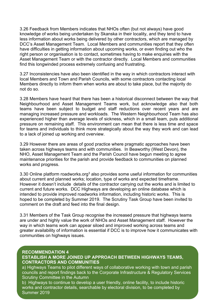3.26 Feedback from Members indicates that NHOs often (but not always) have good knowledge of works being undertaken by Skanska in their locality, and they tend to have less information about works being delivered by other contractors, which are managed by DCC's Asset Management Team. Local Members and communities report that they often have difficulties in getting information about upcoming works, or even finding out who the right person or organisation is to contact, sometimes having to make enquiries with the Asset Management Team or with the contractor directly. Local Members and communities find this longwinded process extremely confusing and frustrating.

3.27 Inconsistencies have also been identified in the way in which contractors interact with local Members and Town and Parish Councils, with some contractors contacting local Members directly to inform them when works are about to take place, but the majority do not do so.

3.28 Members have heard that there has been a historical disconnect between the way that Neighbourhood and Asset Management Teams work, but acknowledge also that both teams have been subject to budget and staff reductions over recent years and are managing increased pressure and workloads. The Western Neighbourhood Team has also experienced higher than average levels of sickness, which in a small team, puts additional pressure on remaining staff. This environment can mean that there is less time and space for teams and individuals to think more strategically about the way they work and can lead to a lack of joined up working and overview.

3.29 However there are areas of good practice where pragmatic approaches have been taken across highways teams and with communities. In Beaworthy (West Devon), the NHO, Asset Management Team and the Parish Council have begun meeting to agree maintenance priorities for the parish and provide feedback to communities on planned works and progress.

3.30 Online platform roadworks.org<sup>3</sup> also provides some useful information for communities about current and planned works; location, type of works and expected timeframe. However it doesn't include details of the contractor carrying out the works and is limited to current and future works. DCC Highways are developing an online database which is intended to provide improved roadworks information, including historic works. This is hoped to be completed by Summer 2019. The Scrutiny Task Group have been invited to comment on the draft and feed into the final design.

3.31 Members of the Task Group recognise the increased pressure that highways teams are under and highly value the work of NHOs and Asset Management staff. However the way in which teams work can appear siloed and improved working across teams and greater availability of information is essential if DCC is to improve how it communicates with communities on highways issues.

#### **RECOMMENDATION 4**

## **ESTABLISH A MORE JOINED UP APPROACH BETWEEN HIGHWAYS TEAMS, CONTRACTORS AND COMMUNITIES**

Scrutiny Committee in the Autumn a) Highways Teams to pilot different ways of collaborative working with town and parish councils and report findings back to the Corporate Infrastructure & Regulatory Services

b) Highways to continue to develop a user friendly, online facility, to include historic works and contractor details, searchable by electoral division, to be completed by Summer 2019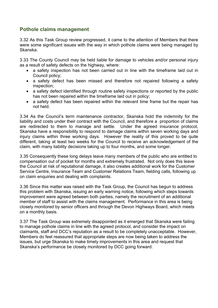## **Pothole claims management**

3.32 As this Task Group review progressed, it came to the attention of Members that there were some significant issues with the way in which pothole claims were being managed by Skanska.

3.33 The County Council may be held liable for damage to vehicles and/or personal injury as a result of safety defects on the highway, where:

- a safety inspection has not been carried out in line with the timeframe laid out in Council policy;
- a safety defect has been missed and therefore not repaired following a safety inspection;
- a safety defect identified through routine safety inspections or reported by the public has not been repaired within the timeframe laid out in policy;
- a safety defect has been repaired within the relevant time frame but the repair has not held.

3.34 As the Council's term maintenance contractor, Skanska hold the indemnity for the liability and costs under their contract with the Council, and therefore a proportion of claims are redirected to them to manage and settle. Under the agreed insurance protocol, Skanska have a responsibility to respond to damage claims within seven working days and injury claims within three working days. However the reality of this proved to be quite different, taking at least two weeks for the Council to receive an acknowledgement of the claim, with many liability decisions taking up to four months, and some longer.

3.35 Consequently these long delays leave many members of the public who are entitled to compensation out of pocket for months and extremely frustrated. Not only does this leave the Council at risk of reputational damage, it also creates additional work for the Customer Service Centre, Insurance Team and Customer Relations Team, fielding calls, following up on claim enquiries and dealing with complaints.

3.36 Since this matter was raised with the Task Group, the Council has begun to address this problem with Skanska, issuing an early warning notice, following which steps towards improvement were agreed between both parties, namely the recruitment of an additional member of staff to assist with the claims management. Performance in this area is being closely monitored by senior officers and through the Devon Highways Board, which meets on a monthly basis.

3.37 The Task Group was extremely disappointed as it emerged that Skanska were failing to manage pothole claims in line with the agreed protocol, and consider the impact on claimants, staff and DCC's reputation as a result to be completely unacceptable. However, Members do feel reassured that appropriate steps are now being taken to address the issues, but urge Skanska to make timely improvements in this area and request that Skanska's performance be closely monitored by DCC going forward.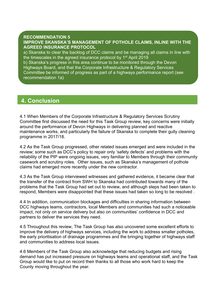## **RECOMMENDATION 5**

**IMPROVE SKANSKA'S MANAGEMENT OF POTHOLE CLAIMS, INLINE WITH THE AGREED INSURANCE PROTOCOL**

a) Skanska to clear the backlog of DCC claims and be managing all claims in line with the timescales in the agreed insurance protocol by 1<sup>st</sup> April 2019 b) Skanska's progress in this area continue to be monitored through the Devon Highways Board, and that the Corporate Infrastructure & Regulatory Services Committee be informed of progress as part of a highways performance report (see recommendation 1a)

# **4. Conclusion**

4.1 When Members of the Corporate Infrastructure & Regulatory Services Scrutiny Committee first discussed the need for this Task Group review, key concerns were initially around the performance of Devon Highways in delivering planned and reactive maintenance works, and particularly the failure of Skanska to complete their gully cleaning programme in 2017/18.

4.2 As the Task Group progressed, other related issues emerged and were included in the review; some such as DCC's policy to repair only 'safety defects' and problems with the reliability of the PIP were ongoing issues, very familiar to Members through their community casework and scrutiny roles. Other issues, such as Skanska's management of pothole claims had emerged more recently under the new contractor.

4.3 As the Task Group interviewed witnesses and gathered evidence, it became clear that the transfer of the contract from SWH to Skanska had contributed towards many of the problems that the Task Group had set out to review, and although steps had been taken to respond, Members were disappointed that these issues had taken so long to be resolved .

4.4 In addition, communication blockages and difficulties in sharing information between DCC highways teams, contractors, local Members and communities had such a noticeable impact, not only on service delivery but also on communities' confidence in DCC and partners to deliver the services they need.

4.5 Throughout this review, The Task Group has also uncovered some excellent efforts to improve the delivery of highways services, including the work to address smaller potholes, the early prioritisation of drainage programmes and the bringing together of highways staff and communities to address local issues.

4.6 Members of the Task Group also acknowledge that reducing budgets and rising demand has put increased pressure on highways teams and operational staff, and the Task Group would like to put on record their thanks to all those who work hard to keep the County moving throughout the year.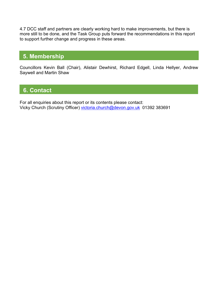4.7 DCC staff and partners are clearly working hard to make improvements, but there is more still to be done, and the Task Group puts forward the recommendations in this report to support further change and progress in these areas.

# **5. Membership**

Councillors Kevin Ball (Chair), Alistair Dewhirst, Richard Edgell, Linda Hellyer, Andrew Saywell and Martin Shaw

# **6. Contact**

For all enquiries about this report or its contents please contact: Vicky Church (Scrutiny Officer) [victoria.church@devon.gov.uk](mailto:victoria.church@devon.gov.uk) 01392 383691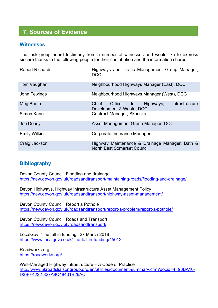# **7. Sources of Evidence**

## **Witnesses**

The task group heard testimony from a number of witnesses and would like to express sincere thanks to the following people for their contribution and the information shared.

| <b>Robert Richards</b> | Highways and Traffic Management Group Manager,<br><b>DCC</b>                         |
|------------------------|--------------------------------------------------------------------------------------|
| Tom Vaughan            | Neighbourhood Highways Manager (East), DCC                                           |
| John Fewings           | Neighbourhood Highways Manager (West), DCC                                           |
| Meg Booth              | Infrastructure<br>Chief<br>Officer for Highways,<br>Development & Waste, DCC         |
| Simon Kane             | Contract Manager, Skanska                                                            |
| Joe Deasy              | Asset Management Group Manager, DCC                                                  |
| <b>Emily Wilkins</b>   | Corporate Insurance Manager                                                          |
| Craig Jackson          | Highway Maintenance & Drainage Manager, Bath &<br><b>North East Somerset Council</b> |

## **Bibliography**

Devon County Council, Flooding and drainage <https://new.devon.gov.uk/roadsandtransport/maintaining-roads/flooding-and-drainage/>

Devon Highways, Highway Infrastructure Asset Management Policy <https://new.devon.gov.uk/roadsandtransport/highway-asset-management/>

Devon County Council, Report a Pothole <https://new.devon.gov.uk/roadsandtransport/report-a-problem/report-a-pothole/>

Devon County Council, Roads and Transport <https://new.devon.gov.uk/roadsandtransport/>

LocalGov, 'The fall in funding', 27 March 2018 <https://www.localgov.co.uk/The-fall-in-funding/45012>

Roadworks.org <https://roadworks.org/>

Well-Managed Highway Infrastructure – A Code of Practice [http://www.ukroadsliaisongroup.org/en/utilities/document-summary.cfm?docid=4F93BA10-](http://www.ukroadsliaisongroup.org/en/utilities/document-summary.cfm?docid=4F93BA10-D3B0-4222-827A8C48401B26AC) [D3B0-4222-827A8C48401B26AC](http://www.ukroadsliaisongroup.org/en/utilities/document-summary.cfm?docid=4F93BA10-D3B0-4222-827A8C48401B26AC)